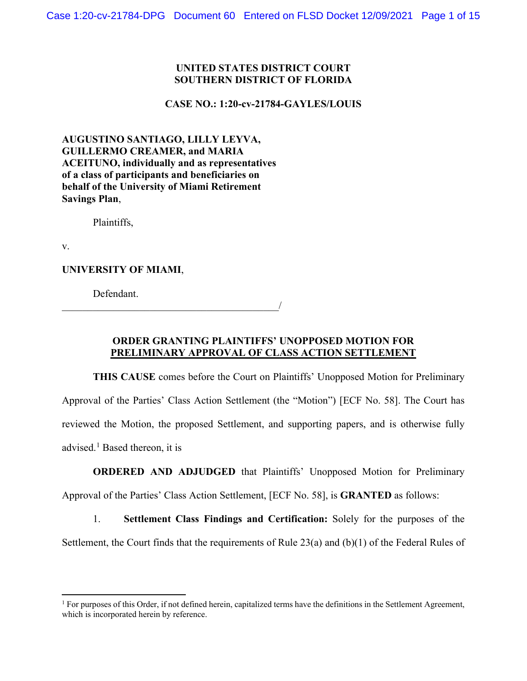#### **UNITED STATES DISTRICT COURT SOUTHERN DISTRICT OF FLORIDA**

**CASE NO.: 1:20-cv-21784-GAYLES/LOUIS**

**AUGUSTINO SANTIAGO, LILLY LEYVA, GUILLERMO CREAMER, and MARIA ACEITUNO, individually and as representatives of a class of participants and beneficiaries on behalf of the University of Miami Retirement Savings Plan**,

 $\overline{\phantom{a}}$ 

Plaintiffs,

v.

**UNIVERSITY OF MIAMI**,

Defendant.

# **ORDER GRANTING PLAINTIFFS' UNOPPOSED MOTION FOR PRELIMINARY APPROVAL OF CLASS ACTION SETTLEMENT**

**THIS CAUSE** comes before the Court on Plaintiffs' Unopposed Motion for Preliminary Approval of the Parties' Class Action Settlement (the "Motion") [ECF No. 58]. The Court has reviewed the Motion, the proposed Settlement, and supporting papers, and is otherwise fully advised.<sup>[1](#page-0-0)</sup> Based thereon, it is

## **ORDERED AND ADJUDGED** that Plaintiffs' Unopposed Motion for Preliminary

Approval of the Parties' Class Action Settlement, [ECF No. 58], is **GRANTED** as follows:

1. **Settlement Class Findings and Certification:** Solely for the purposes of the Settlement, the Court finds that the requirements of Rule 23(a) and (b)(1) of the Federal Rules of

<span id="page-0-0"></span> $1$  For purposes of this Order, if not defined herein, capitalized terms have the definitions in the Settlement Agreement, which is incorporated herein by reference.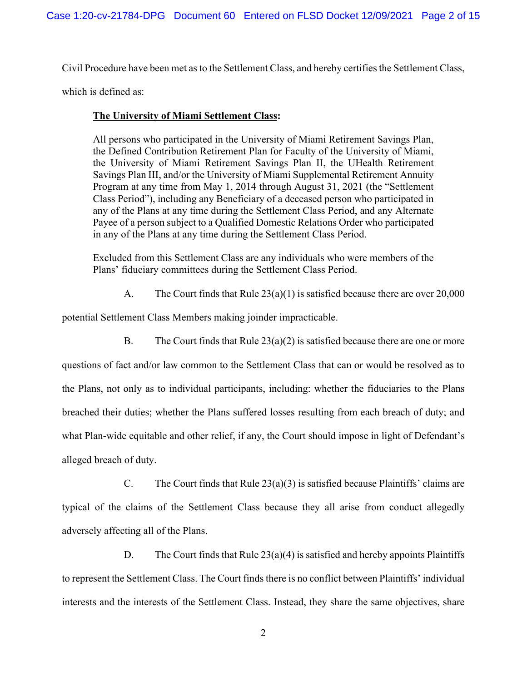Civil Procedure have been met as to the Settlement Class, and hereby certifies the Settlement Class,

which is defined as:

## **The University of Miami Settlement Class:**

All persons who participated in the University of Miami Retirement Savings Plan, the Defined Contribution Retirement Plan for Faculty of the University of Miami, the University of Miami Retirement Savings Plan II, the UHealth Retirement Savings Plan III, and/or the University of Miami Supplemental Retirement Annuity Program at any time from May 1, 2014 through August 31, 2021 (the "Settlement Class Period"), including any Beneficiary of a deceased person who participated in any of the Plans at any time during the Settlement Class Period, and any Alternate Payee of a person subject to a Qualified Domestic Relations Order who participated in any of the Plans at any time during the Settlement Class Period.

Excluded from this Settlement Class are any individuals who were members of the Plans' fiduciary committees during the Settlement Class Period.

A. The Court finds that Rule 23(a)(1) is satisfied because there are over 20,000

potential Settlement Class Members making joinder impracticable.

B. The Court finds that Rule  $23(a)(2)$  is satisfied because there are one or more

questions of fact and/or law common to the Settlement Class that can or would be resolved as to the Plans, not only as to individual participants, including: whether the fiduciaries to the Plans breached their duties; whether the Plans suffered losses resulting from each breach of duty; and what Plan-wide equitable and other relief, if any, the Court should impose in light of Defendant's alleged breach of duty.

C. The Court finds that Rule  $23(a)(3)$  is satisfied because Plaintiffs' claims are typical of the claims of the Settlement Class because they all arise from conduct allegedly adversely affecting all of the Plans.

D. The Court finds that Rule  $23(a)(4)$  is satisfied and hereby appoints Plaintiffs to represent the Settlement Class. The Court finds there is no conflict between Plaintiffs' individual interests and the interests of the Settlement Class. Instead, they share the same objectives, share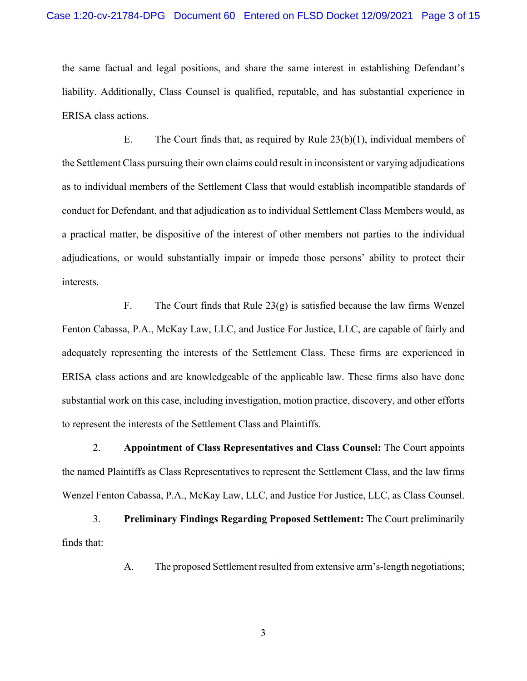the same factual and legal positions, and share the same interest in establishing Defendant's liability. Additionally, Class Counsel is qualified, reputable, and has substantial experience in ERISA class actions.

E. The Court finds that, as required by Rule  $23(b)(1)$ , individual members of the Settlement Class pursuing their own claims could result in inconsistent or varying adjudications as to individual members of the Settlement Class that would establish incompatible standards of conduct for Defendant, and that adjudication as to individual Settlement Class Members would, as a practical matter, be dispositive of the interest of other members not parties to the individual adjudications, or would substantially impair or impede those persons' ability to protect their interests.

F. The Court finds that Rule 23(g) is satisfied because the law firms Wenzel Fenton Cabassa, P.A., McKay Law, LLC, and Justice For Justice, LLC, are capable of fairly and adequately representing the interests of the Settlement Class. These firms are experienced in ERISA class actions and are knowledgeable of the applicable law. These firms also have done substantial work on this case, including investigation, motion practice, discovery, and other efforts to represent the interests of the Settlement Class and Plaintiffs.

2. **Appointment of Class Representatives and Class Counsel:** The Court appoints the named Plaintiffs as Class Representatives to represent the Settlement Class, and the law firms Wenzel Fenton Cabassa, P.A., McKay Law, LLC, and Justice For Justice, LLC, as Class Counsel.

3. **Preliminary Findings Regarding Proposed Settlement:** The Court preliminarily finds that:

A. The proposed Settlement resulted from extensive arm's-length negotiations;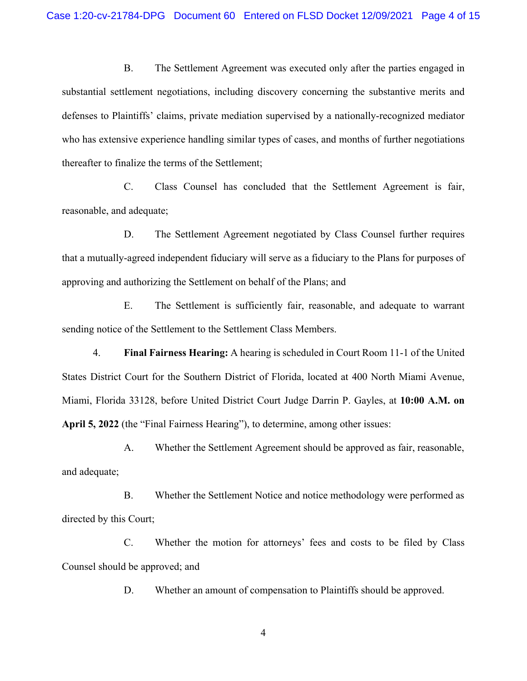B. The Settlement Agreement was executed only after the parties engaged in substantial settlement negotiations, including discovery concerning the substantive merits and defenses to Plaintiffs' claims, private mediation supervised by a nationally-recognized mediator who has extensive experience handling similar types of cases, and months of further negotiations thereafter to finalize the terms of the Settlement;

C. Class Counsel has concluded that the Settlement Agreement is fair, reasonable, and adequate;

D. The Settlement Agreement negotiated by Class Counsel further requires that a mutually-agreed independent fiduciary will serve as a fiduciary to the Plans for purposes of approving and authorizing the Settlement on behalf of the Plans; and

E. The Settlement is sufficiently fair, reasonable, and adequate to warrant sending notice of the Settlement to the Settlement Class Members.

4. **Final Fairness Hearing:** A hearing is scheduled in Court Room 11-1 of the United States District Court for the Southern District of Florida, located at 400 North Miami Avenue, Miami, Florida 33128, before United District Court Judge Darrin P. Gayles, at **10:00 A.M. on April 5, 2022** (the "Final Fairness Hearing"), to determine, among other issues:

A. Whether the Settlement Agreement should be approved as fair, reasonable, and adequate;

B. Whether the Settlement Notice and notice methodology were performed as directed by this Court;

C. Whether the motion for attorneys' fees and costs to be filed by Class Counsel should be approved; and

D. Whether an amount of compensation to Plaintiffs should be approved.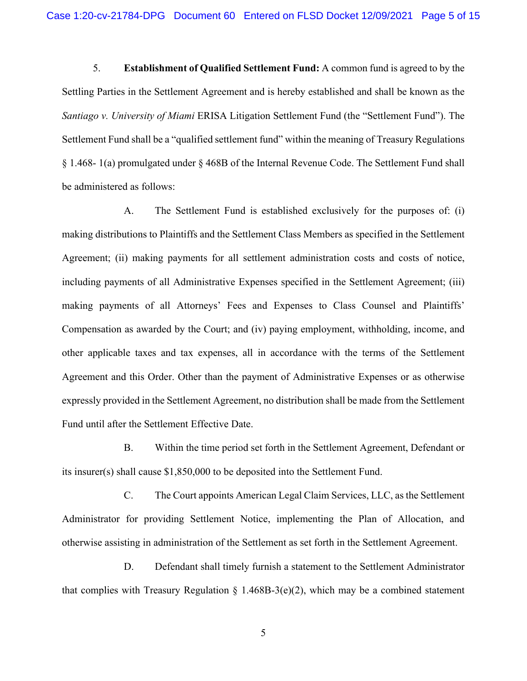5. **Establishment of Qualified Settlement Fund:** A common fund is agreed to by the Settling Parties in the Settlement Agreement and is hereby established and shall be known as the *Santiago v. University of Miami* ERISA Litigation Settlement Fund (the "Settlement Fund"). The Settlement Fund shall be a "qualified settlement fund" within the meaning of Treasury Regulations § 1.468- 1(a) promulgated under § 468B of the Internal Revenue Code. The Settlement Fund shall be administered as follows:

A. The Settlement Fund is established exclusively for the purposes of: (i) making distributions to Plaintiffs and the Settlement Class Members as specified in the Settlement Agreement; (ii) making payments for all settlement administration costs and costs of notice, including payments of all Administrative Expenses specified in the Settlement Agreement; (iii) making payments of all Attorneys' Fees and Expenses to Class Counsel and Plaintiffs' Compensation as awarded by the Court; and (iv) paying employment, withholding, income, and other applicable taxes and tax expenses, all in accordance with the terms of the Settlement Agreement and this Order. Other than the payment of Administrative Expenses or as otherwise expressly provided in the Settlement Agreement, no distribution shall be made from the Settlement Fund until after the Settlement Effective Date.

B. Within the time period set forth in the Settlement Agreement, Defendant or its insurer(s) shall cause \$1,850,000 to be deposited into the Settlement Fund.

C. The Court appoints American Legal Claim Services, LLC, as the Settlement Administrator for providing Settlement Notice, implementing the Plan of Allocation, and otherwise assisting in administration of the Settlement as set forth in the Settlement Agreement.

D. Defendant shall timely furnish a statement to the Settlement Administrator that complies with Treasury Regulation  $\S$  1.468B-3(e)(2), which may be a combined statement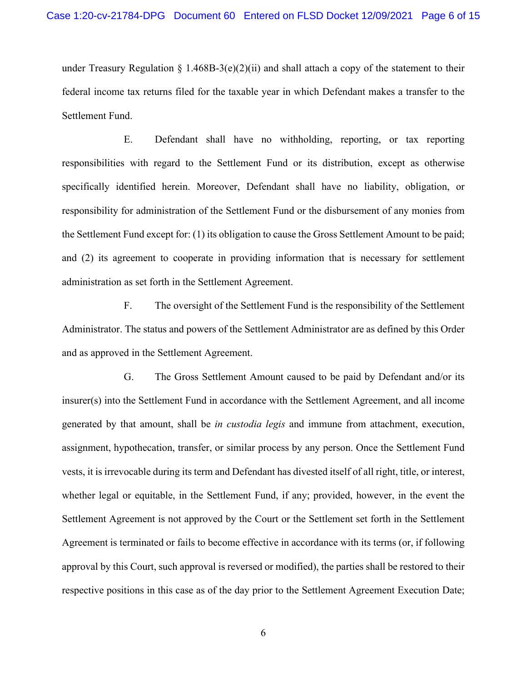under Treasury Regulation § 1.468B-3(e)(2)(ii) and shall attach a copy of the statement to their federal income tax returns filed for the taxable year in which Defendant makes a transfer to the Settlement Fund.

E. Defendant shall have no withholding, reporting, or tax reporting responsibilities with regard to the Settlement Fund or its distribution, except as otherwise specifically identified herein. Moreover, Defendant shall have no liability, obligation, or responsibility for administration of the Settlement Fund or the disbursement of any monies from the Settlement Fund except for: (1) its obligation to cause the Gross Settlement Amount to be paid; and (2) its agreement to cooperate in providing information that is necessary for settlement administration as set forth in the Settlement Agreement.

F. The oversight of the Settlement Fund is the responsibility of the Settlement Administrator. The status and powers of the Settlement Administrator are as defined by this Order and as approved in the Settlement Agreement.

G. The Gross Settlement Amount caused to be paid by Defendant and/or its insurer(s) into the Settlement Fund in accordance with the Settlement Agreement, and all income generated by that amount, shall be *in custodia legis* and immune from attachment, execution, assignment, hypothecation, transfer, or similar process by any person. Once the Settlement Fund vests, it is irrevocable during its term and Defendant has divested itself of all right, title, or interest, whether legal or equitable, in the Settlement Fund, if any; provided, however, in the event the Settlement Agreement is not approved by the Court or the Settlement set forth in the Settlement Agreement is terminated or fails to become effective in accordance with its terms (or, if following approval by this Court, such approval is reversed or modified), the parties shall be restored to their respective positions in this case as of the day prior to the Settlement Agreement Execution Date;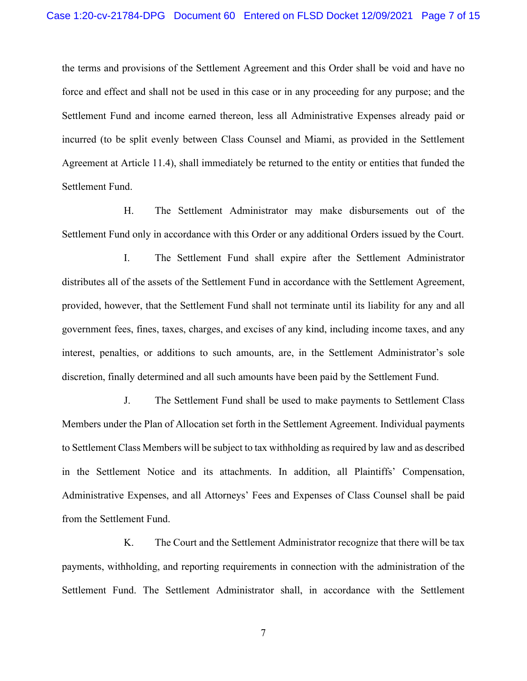the terms and provisions of the Settlement Agreement and this Order shall be void and have no force and effect and shall not be used in this case or in any proceeding for any purpose; and the Settlement Fund and income earned thereon, less all Administrative Expenses already paid or incurred (to be split evenly between Class Counsel and Miami, as provided in the Settlement Agreement at Article 11.4), shall immediately be returned to the entity or entities that funded the Settlement Fund.

H. The Settlement Administrator may make disbursements out of the Settlement Fund only in accordance with this Order or any additional Orders issued by the Court.

I. The Settlement Fund shall expire after the Settlement Administrator distributes all of the assets of the Settlement Fund in accordance with the Settlement Agreement, provided, however, that the Settlement Fund shall not terminate until its liability for any and all government fees, fines, taxes, charges, and excises of any kind, including income taxes, and any interest, penalties, or additions to such amounts, are, in the Settlement Administrator's sole discretion, finally determined and all such amounts have been paid by the Settlement Fund.

J. The Settlement Fund shall be used to make payments to Settlement Class Members under the Plan of Allocation set forth in the Settlement Agreement. Individual payments to Settlement Class Members will be subject to tax withholding as required by law and as described in the Settlement Notice and its attachments. In addition, all Plaintiffs' Compensation, Administrative Expenses, and all Attorneys' Fees and Expenses of Class Counsel shall be paid from the Settlement Fund.

K. The Court and the Settlement Administrator recognize that there will be tax payments, withholding, and reporting requirements in connection with the administration of the Settlement Fund. The Settlement Administrator shall, in accordance with the Settlement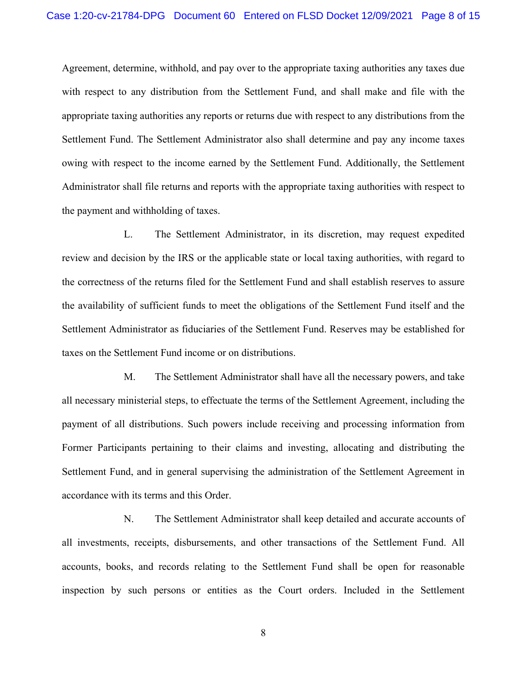Agreement, determine, withhold, and pay over to the appropriate taxing authorities any taxes due with respect to any distribution from the Settlement Fund, and shall make and file with the appropriate taxing authorities any reports or returns due with respect to any distributions from the Settlement Fund. The Settlement Administrator also shall determine and pay any income taxes owing with respect to the income earned by the Settlement Fund. Additionally, the Settlement Administrator shall file returns and reports with the appropriate taxing authorities with respect to the payment and withholding of taxes.

L. The Settlement Administrator, in its discretion, may request expedited review and decision by the IRS or the applicable state or local taxing authorities, with regard to the correctness of the returns filed for the Settlement Fund and shall establish reserves to assure the availability of sufficient funds to meet the obligations of the Settlement Fund itself and the Settlement Administrator as fiduciaries of the Settlement Fund. Reserves may be established for taxes on the Settlement Fund income or on distributions.

M. The Settlement Administrator shall have all the necessary powers, and take all necessary ministerial steps, to effectuate the terms of the Settlement Agreement, including the payment of all distributions. Such powers include receiving and processing information from Former Participants pertaining to their claims and investing, allocating and distributing the Settlement Fund, and in general supervising the administration of the Settlement Agreement in accordance with its terms and this Order.

N. The Settlement Administrator shall keep detailed and accurate accounts of all investments, receipts, disbursements, and other transactions of the Settlement Fund. All accounts, books, and records relating to the Settlement Fund shall be open for reasonable inspection by such persons or entities as the Court orders. Included in the Settlement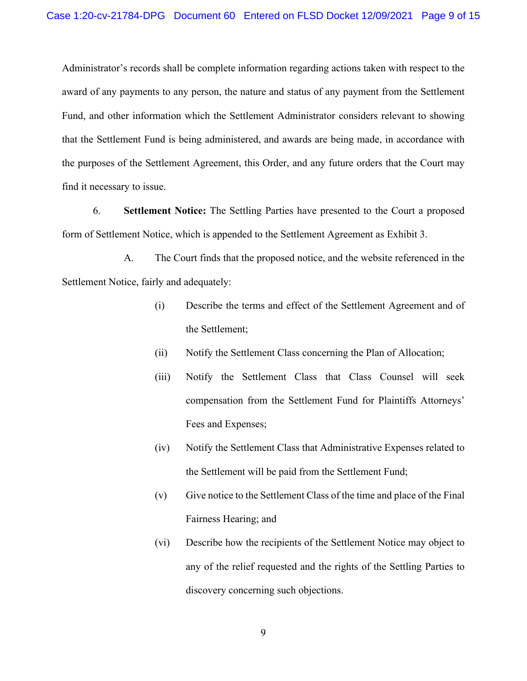Administrator's records shall be complete information regarding actions taken with respect to the award of any payments to any person, the nature and status of any payment from the Settlement Fund, and other information which the Settlement Administrator considers relevant to showing that the Settlement Fund is being administered, and awards are being made, in accordance with the purposes of the Settlement Agreement, this Order, and any future orders that the Court may find it necessary to issue.

6. **Settlement Notice:** The Settling Parties have presented to the Court a proposed form of Settlement Notice, which is appended to the Settlement Agreement as Exhibit 3.

A. The Court finds that the proposed notice, and the website referenced in the Settlement Notice, fairly and adequately:

- (i) Describe the terms and effect of the Settlement Agreement and of the Settlement;
- (ii) Notify the Settlement Class concerning the Plan of Allocation;
- (iii) Notify the Settlement Class that Class Counsel will seek compensation from the Settlement Fund for Plaintiffs Attorneys' Fees and Expenses;
- (iv) Notify the Settlement Class that Administrative Expenses related to the Settlement will be paid from the Settlement Fund;
- (v) Give notice to the Settlement Class of the time and place of the Final Fairness Hearing; and
- (vi) Describe how the recipients of the Settlement Notice may object to any of the relief requested and the rights of the Settling Parties to discovery concerning such objections.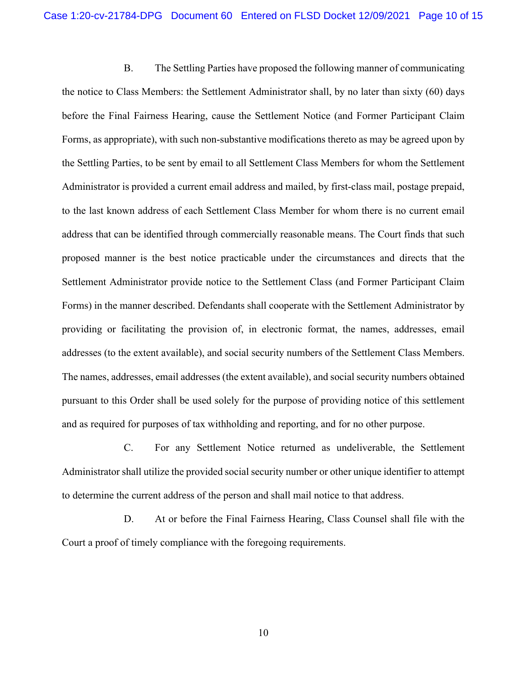B. The Settling Parties have proposed the following manner of communicating the notice to Class Members: the Settlement Administrator shall, by no later than sixty (60) days before the Final Fairness Hearing, cause the Settlement Notice (and Former Participant Claim Forms, as appropriate), with such non-substantive modifications thereto as may be agreed upon by the Settling Parties, to be sent by email to all Settlement Class Members for whom the Settlement Administrator is provided a current email address and mailed, by first-class mail, postage prepaid, to the last known address of each Settlement Class Member for whom there is no current email address that can be identified through commercially reasonable means. The Court finds that such proposed manner is the best notice practicable under the circumstances and directs that the Settlement Administrator provide notice to the Settlement Class (and Former Participant Claim Forms) in the manner described. Defendants shall cooperate with the Settlement Administrator by providing or facilitating the provision of, in electronic format, the names, addresses, email addresses (to the extent available), and social security numbers of the Settlement Class Members. The names, addresses, email addresses (the extent available), and social security numbers obtained pursuant to this Order shall be used solely for the purpose of providing notice of this settlement and as required for purposes of tax withholding and reporting, and for no other purpose.

C. For any Settlement Notice returned as undeliverable, the Settlement Administrator shall utilize the provided social security number or other unique identifier to attempt to determine the current address of the person and shall mail notice to that address.

D. At or before the Final Fairness Hearing, Class Counsel shall file with the Court a proof of timely compliance with the foregoing requirements.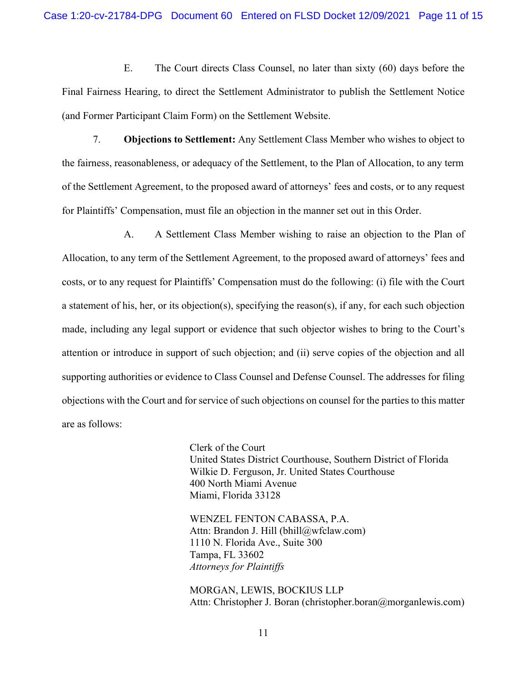E. The Court directs Class Counsel, no later than sixty (60) days before the Final Fairness Hearing, to direct the Settlement Administrator to publish the Settlement Notice (and Former Participant Claim Form) on the Settlement Website.

7. **Objections to Settlement:** Any Settlement Class Member who wishes to object to the fairness, reasonableness, or adequacy of the Settlement, to the Plan of Allocation, to any term of the Settlement Agreement, to the proposed award of attorneys' fees and costs, or to any request for Plaintiffs' Compensation, must file an objection in the manner set out in this Order.

A. A Settlement Class Member wishing to raise an objection to the Plan of Allocation, to any term of the Settlement Agreement, to the proposed award of attorneys' fees and costs, or to any request for Plaintiffs' Compensation must do the following: (i) file with the Court a statement of his, her, or its objection(s), specifying the reason(s), if any, for each such objection made, including any legal support or evidence that such objector wishes to bring to the Court's attention or introduce in support of such objection; and (ii) serve copies of the objection and all supporting authorities or evidence to Class Counsel and Defense Counsel. The addresses for filing objections with the Court and for service of such objections on counsel for the parties to this matter are as follows:

> Clerk of the Court United States District Courthouse, Southern District of Florida Wilkie D. Ferguson, Jr. United States Courthouse 400 North Miami Avenue Miami, Florida 33128

WENZEL FENTON CABASSA, P.A. Attn: Brandon J. Hill (bhill@wfclaw.com) 1110 N. Florida Ave., Suite 300 Tampa, FL 33602 *Attorneys for Plaintiffs*

MORGAN, LEWIS, BOCKIUS LLP Attn: Christopher J. Boran (christopher.boran@morganlewis.com)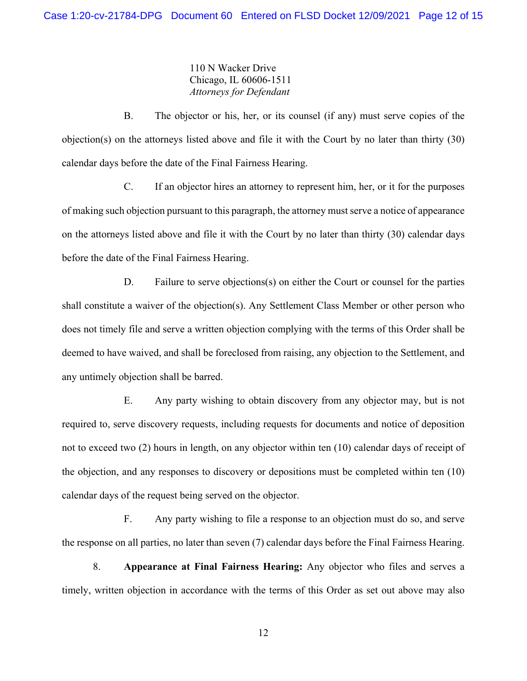110 N Wacker Drive Chicago, IL 60606-1511 *Attorneys for Defendant*

B. The objector or his, her, or its counsel (if any) must serve copies of the objection(s) on the attorneys listed above and file it with the Court by no later than thirty (30) calendar days before the date of the Final Fairness Hearing.

C. If an objector hires an attorney to represent him, her, or it for the purposes of making such objection pursuant to this paragraph, the attorney must serve a notice of appearance on the attorneys listed above and file it with the Court by no later than thirty (30) calendar days before the date of the Final Fairness Hearing.

D. Failure to serve objections(s) on either the Court or counsel for the parties shall constitute a waiver of the objection(s). Any Settlement Class Member or other person who does not timely file and serve a written objection complying with the terms of this Order shall be deemed to have waived, and shall be foreclosed from raising, any objection to the Settlement, and any untimely objection shall be barred.

E. Any party wishing to obtain discovery from any objector may, but is not required to, serve discovery requests, including requests for documents and notice of deposition not to exceed two (2) hours in length, on any objector within ten (10) calendar days of receipt of the objection, and any responses to discovery or depositions must be completed within ten (10) calendar days of the request being served on the objector.

F. Any party wishing to file a response to an objection must do so, and serve the response on all parties, no later than seven (7) calendar days before the Final Fairness Hearing.

8. **Appearance at Final Fairness Hearing:** Any objector who files and serves a timely, written objection in accordance with the terms of this Order as set out above may also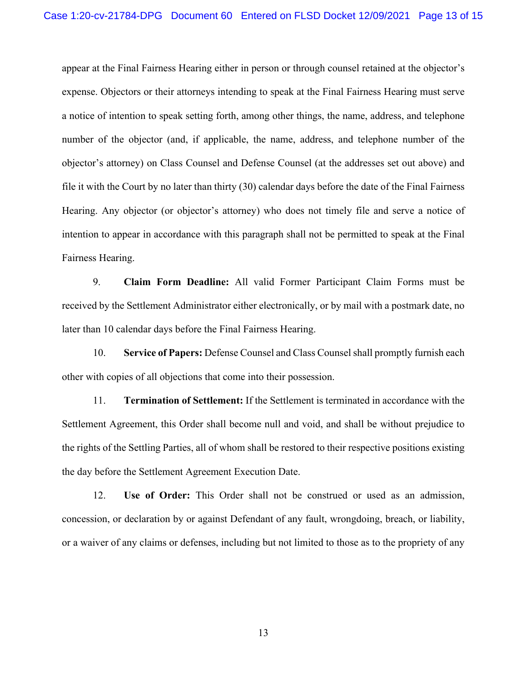appear at the Final Fairness Hearing either in person or through counsel retained at the objector's expense. Objectors or their attorneys intending to speak at the Final Fairness Hearing must serve a notice of intention to speak setting forth, among other things, the name, address, and telephone number of the objector (and, if applicable, the name, address, and telephone number of the objector's attorney) on Class Counsel and Defense Counsel (at the addresses set out above) and file it with the Court by no later than thirty (30) calendar days before the date of the Final Fairness Hearing. Any objector (or objector's attorney) who does not timely file and serve a notice of intention to appear in accordance with this paragraph shall not be permitted to speak at the Final Fairness Hearing.

9. **Claim Form Deadline:** All valid Former Participant Claim Forms must be received by the Settlement Administrator either electronically, or by mail with a postmark date, no later than 10 calendar days before the Final Fairness Hearing.

10. **Service of Papers:** Defense Counsel and Class Counsel shall promptly furnish each other with copies of all objections that come into their possession.

11. **Termination of Settlement:** If the Settlement is terminated in accordance with the Settlement Agreement, this Order shall become null and void, and shall be without prejudice to the rights of the Settling Parties, all of whom shall be restored to their respective positions existing the day before the Settlement Agreement Execution Date.

12. **Use of Order:** This Order shall not be construed or used as an admission, concession, or declaration by or against Defendant of any fault, wrongdoing, breach, or liability, or a waiver of any claims or defenses, including but not limited to those as to the propriety of any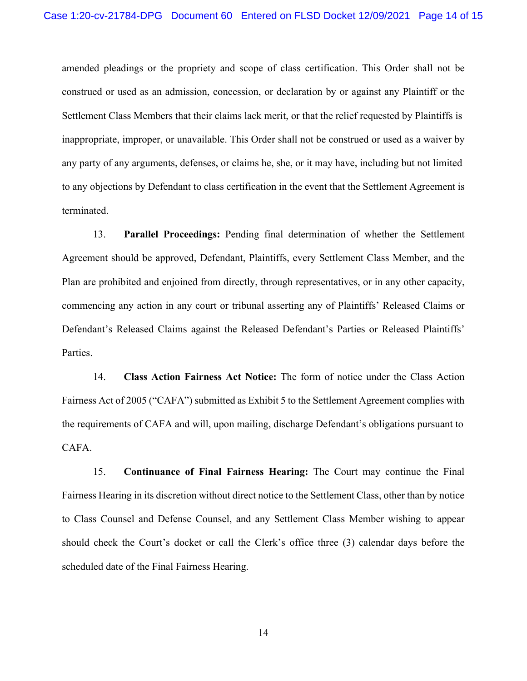amended pleadings or the propriety and scope of class certification. This Order shall not be construed or used as an admission, concession, or declaration by or against any Plaintiff or the Settlement Class Members that their claims lack merit, or that the relief requested by Plaintiffs is inappropriate, improper, or unavailable. This Order shall not be construed or used as a waiver by any party of any arguments, defenses, or claims he, she, or it may have, including but not limited to any objections by Defendant to class certification in the event that the Settlement Agreement is terminated.

13. **Parallel Proceedings:** Pending final determination of whether the Settlement Agreement should be approved, Defendant, Plaintiffs, every Settlement Class Member, and the Plan are prohibited and enjoined from directly, through representatives, or in any other capacity, commencing any action in any court or tribunal asserting any of Plaintiffs' Released Claims or Defendant's Released Claims against the Released Defendant's Parties or Released Plaintiffs' Parties.

14. **Class Action Fairness Act Notice:** The form of notice under the Class Action Fairness Act of 2005 ("CAFA") submitted as Exhibit 5 to the Settlement Agreement complies with the requirements of CAFA and will, upon mailing, discharge Defendant's obligations pursuant to CAFA.

15. **Continuance of Final Fairness Hearing:** The Court may continue the Final Fairness Hearing in its discretion without direct notice to the Settlement Class, other than by notice to Class Counsel and Defense Counsel, and any Settlement Class Member wishing to appear should check the Court's docket or call the Clerk's office three (3) calendar days before the scheduled date of the Final Fairness Hearing.